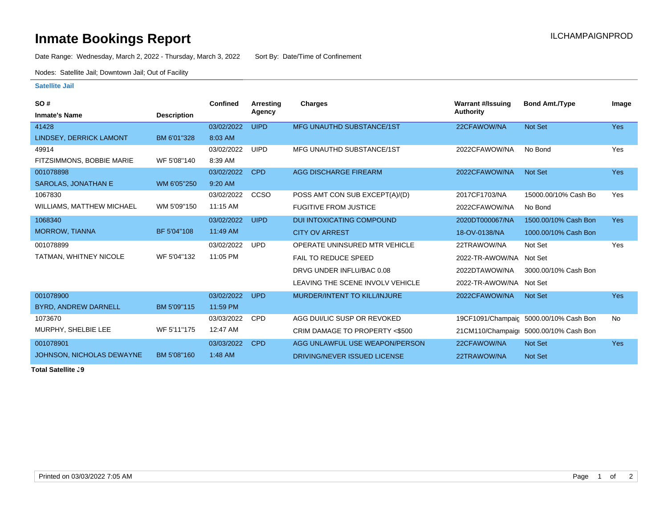## **Inmate Bookings Report Installation ILCHAMPAIGNPROD**

Date Range: Wednesday, March 2, 2022 - Thursday, March 3, 2022 Sort By: Date/Time of Confinement

Nodes: Satellite Jail; Downtown Jail; Out of Facility

## **Satellite Jail**

| SO#                              |                    | Confined   | Arresting   | <b>Charges</b>                      | <b>Warrant #/Issuing</b> | <b>Bond Amt./Type</b>                  | Image      |
|----------------------------------|--------------------|------------|-------------|-------------------------------------|--------------------------|----------------------------------------|------------|
| <b>Inmate's Name</b>             | <b>Description</b> |            | Agency      |                                     | Authority                |                                        |            |
| 41428                            |                    | 03/02/2022 | <b>UIPD</b> | <b>MFG UNAUTHD SUBSTANCE/1ST</b>    | 22CFAWOW/NA              | Not Set                                | <b>Yes</b> |
| <b>LINDSEY, DERRICK LAMONT</b>   | BM 6'01"328        | 8:03 AM    |             |                                     |                          |                                        |            |
| 49914                            |                    | 03/02/2022 | <b>UIPD</b> | MFG UNAUTHD SUBSTANCE/1ST           | 2022CFAWOW/NA            | No Bond                                | Yes        |
| FITZSIMMONS, BOBBIE MARIE        | WF 5'08"140        | 8:39 AM    |             |                                     |                          |                                        |            |
| 001078898                        |                    | 03/02/2022 | <b>CPD</b>  | <b>AGG DISCHARGE FIREARM</b>        | 2022CFAWOW/NA            | <b>Not Set</b>                         | <b>Yes</b> |
| <b>SAROLAS, JONATHAN E</b>       | WM 6'05"250        | 9:20 AM    |             |                                     |                          |                                        |            |
| 1067830                          |                    | 03/02/2022 | <b>CCSO</b> | POSS AMT CON SUB EXCEPT(A)/(D)      | 2017CF1703/NA            | 15000.00/10% Cash Bo                   | Yes        |
| <b>WILLIAMS, MATTHEW MICHAEL</b> | WM 5'09"150        | 11:15 AM   |             | <b>FUGITIVE FROM JUSTICE</b>        | 2022CFAWOW/NA            | No Bond                                |            |
| 1068340                          |                    | 03/02/2022 | <b>UIPD</b> | <b>DUI INTOXICATING COMPOUND</b>    | 2020DT000067/NA          | 1500.00/10% Cash Bon                   | <b>Yes</b> |
| <b>MORROW, TIANNA</b>            | BF 5'04"108        | 11:49 AM   |             | <b>CITY OV ARREST</b>               | 18-OV-0138/NA            | 1000.00/10% Cash Bon                   |            |
| 001078899                        |                    | 03/02/2022 | <b>UPD</b>  | OPERATE UNINSURED MTR VEHICLE       | 22TRAWOW/NA              | Not Set                                | Yes        |
| TATMAN, WHITNEY NICOLE           | WF 5'04"132        | 11:05 PM   |             | <b>FAIL TO REDUCE SPEED</b>         | 2022-TR-AWOW/NA Not Set  |                                        |            |
|                                  |                    |            |             | DRVG UNDER INFLU/BAC 0.08           | 2022DTAWOW/NA            | 3000.00/10% Cash Bon                   |            |
|                                  |                    |            |             | LEAVING THE SCENE INVOLV VEHICLE    | 2022-TR-AWOW/NA          | Not Set                                |            |
| 001078900                        |                    | 03/02/2022 | <b>UPD</b>  | <b>MURDER/INTENT TO KILL/INJURE</b> | 2022CFAWOW/NA            | <b>Not Set</b>                         | Yes        |
| BYRD, ANDREW DARNELL             | BM 5'09"115        | 11:59 PM   |             |                                     |                          |                                        |            |
| 1073670                          |                    | 03/03/2022 | <b>CPD</b>  | AGG DUI/LIC SUSP OR REVOKED         |                          | 19CF1091/Champaic 5000.00/10% Cash Bon | No         |
| MURPHY, SHELBIE LEE              | WF 5'11"175        | 12:47 AM   |             | CRIM DAMAGE TO PROPERTY <\$500      |                          | 21CM110/Champaig: 5000.00/10% Cash Bon |            |
| 001078901                        |                    | 03/03/2022 | <b>CPD</b>  | AGG UNLAWFUL USE WEAPON/PERSON      | 22CFAWOW/NA              | Not Set                                | <b>Yes</b> |
| JOHNSON, NICHOLAS DEWAYNE        | BM 5'08"160        | 1:48 AM    |             | DRIVING/NEVER ISSUED LICENSE        | 22TRAWOW/NA              | Not Set                                |            |

**Total Satellite . 9**